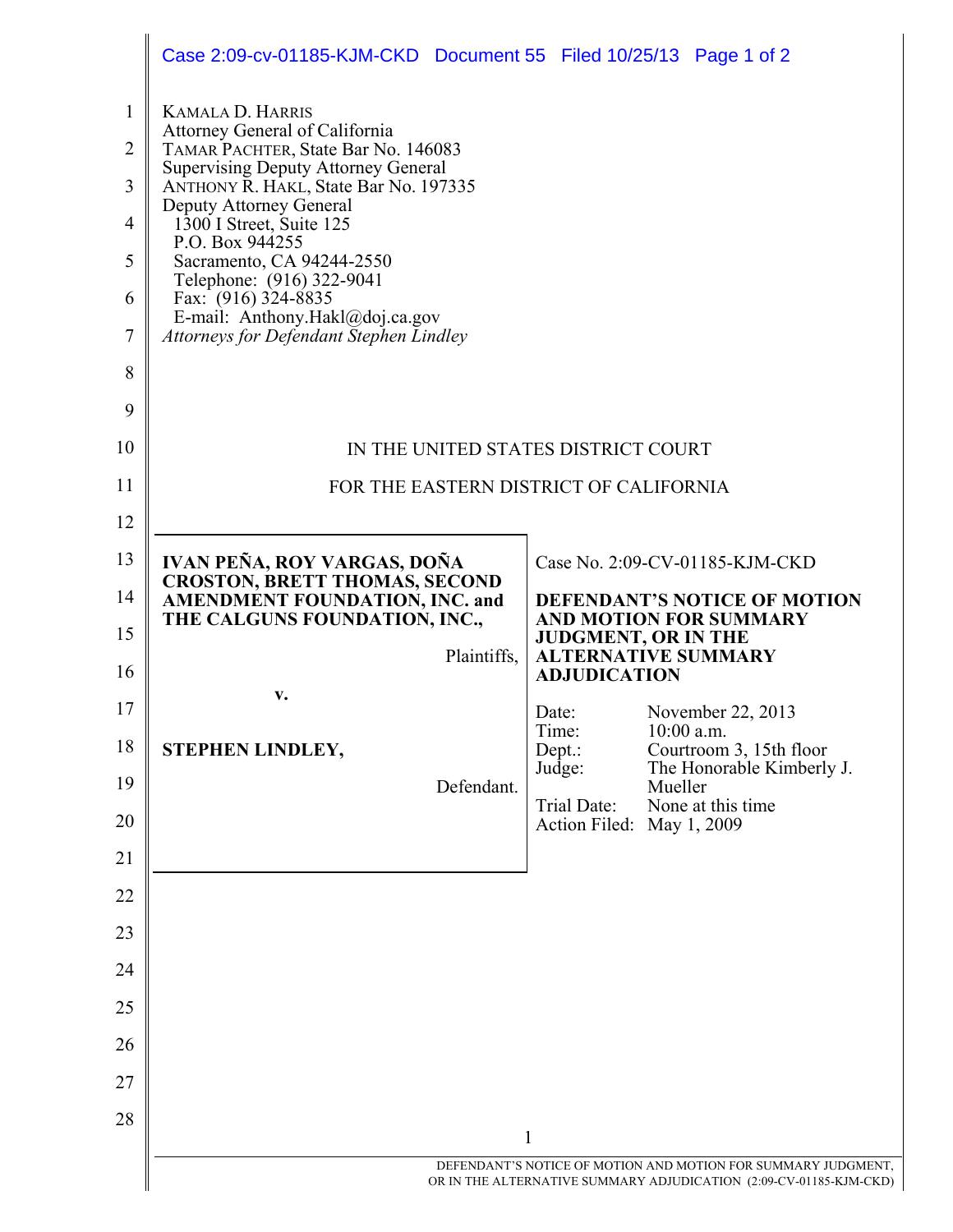|                | Case 2:09-cv-01185-KJM-CKD Document 55 Filed 10/25/13 Page 1 of 2                                              |                                                                      |         |                                                      |  |
|----------------|----------------------------------------------------------------------------------------------------------------|----------------------------------------------------------------------|---------|------------------------------------------------------|--|
| $\mathbf{1}$   | <b>KAMALA D. HARRIS</b>                                                                                        |                                                                      |         |                                                      |  |
| $\overline{2}$ | Attorney General of California<br>TAMAR PACHTER, State Bar No. 146083                                          |                                                                      |         |                                                      |  |
| 3              | <b>Supervising Deputy Attorney General</b><br>ANTHONY R. HAKL, State Bar No. 197335                            |                                                                      |         |                                                      |  |
| $\overline{4}$ | Deputy Attorney General<br>1300 I Street, Suite 125                                                            |                                                                      |         |                                                      |  |
| 5              | P.O. Box 944255<br>Sacramento, CA 94244-2550                                                                   |                                                                      |         |                                                      |  |
| 6              | Telephone: (916) 322-9041<br>Fax: (916) 324-8835                                                               |                                                                      |         |                                                      |  |
| 7              | E-mail: Anthony.Hakl@doj.ca.gov<br>Attorneys for Defendant Stephen Lindley                                     |                                                                      |         |                                                      |  |
| 8              |                                                                                                                |                                                                      |         |                                                      |  |
| 9              |                                                                                                                |                                                                      |         |                                                      |  |
| 10             | IN THE UNITED STATES DISTRICT COURT                                                                            |                                                                      |         |                                                      |  |
| 11             | FOR THE EASTERN DISTRICT OF CALIFORNIA                                                                         |                                                                      |         |                                                      |  |
| 12             |                                                                                                                |                                                                      |         |                                                      |  |
| 13             | IVAN PEÑA, ROY VARGAS, DOÑA                                                                                    |                                                                      |         | Case No. 2:09-CV-01185-KJM-CKD                       |  |
| 14             | <b>CROSTON, BRETT THOMAS, SECOND</b><br><b>AMENDMENT FOUNDATION, INC. and</b><br>THE CALGUNS FOUNDATION, INC., | <b>DEFENDANT'S NOTICE OF MOTION</b><br><b>AND MOTION FOR SUMMARY</b> |         |                                                      |  |
| 15             | Plaintiffs,                                                                                                    | <b>JUDGMENT, OR IN THE</b><br><b>ALTERNATIVE SUMMARY</b>             |         |                                                      |  |
| 16             | V.                                                                                                             | <b>ADJUDICATION</b>                                                  |         |                                                      |  |
| 17             |                                                                                                                | Date:<br>Time:                                                       |         | November 22, 2013<br>10:00 a.m.                      |  |
| 18             | STEPHEN LINDLEY,                                                                                               | Dept.:<br>Judge:                                                     |         | Courtroom 3, 15th floor<br>The Honorable Kimberly J. |  |
| 19             | Defendant.                                                                                                     | Trial Date:                                                          | Mueller | None at this time                                    |  |
| 20             |                                                                                                                | Action Filed: May 1, 2009                                            |         |                                                      |  |
| 21             |                                                                                                                |                                                                      |         |                                                      |  |
| 22             |                                                                                                                |                                                                      |         |                                                      |  |
| 23             |                                                                                                                |                                                                      |         |                                                      |  |
| 24             |                                                                                                                |                                                                      |         |                                                      |  |
| 25             |                                                                                                                |                                                                      |         |                                                      |  |
| 26             |                                                                                                                |                                                                      |         |                                                      |  |
|                |                                                                                                                |                                                                      |         |                                                      |  |
| 27             |                                                                                                                |                                                                      |         |                                                      |  |
| 28             |                                                                                                                | 1                                                                    |         |                                                      |  |